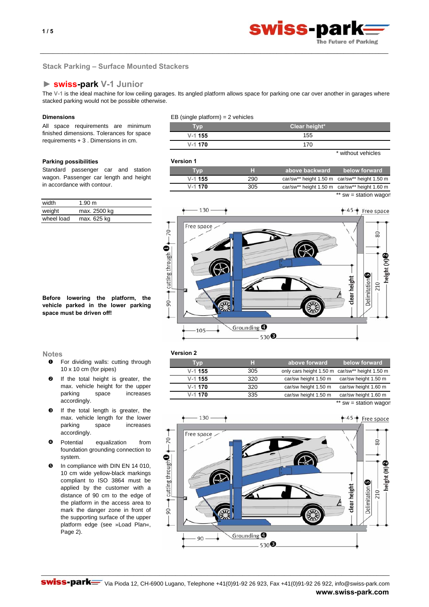

 $sw =$  station wagon

# **Stack Parking – Surface Mounted Stackers**

# **► swiss-park V-1 Junior**

The **V-1** is the ideal machine for low ceiling garages. Its angled platform allows space for parking one car over another in garages where stacked parking would not be possible otherwise.

\_\_\_\_\_\_\_\_\_\_\_\_\_\_\_\_\_\_\_\_\_\_\_\_\_\_\_\_\_\_\_\_\_\_\_\_\_\_\_\_\_\_\_\_\_\_\_\_\_\_\_\_\_\_\_\_\_\_\_\_\_\_\_\_\_\_\_\_\_\_\_\_\_\_\_\_\_\_\_\_\_\_\_\_\_\_\_\_\_\_\_\_\_\_\_\_\_\_\_\_\_\_\_\_\_\_\_\_\_

All space requirements are minimum finished dimensions. Tolerances for space requirements + 3 . Dimensions in cm.

# **Parking possibilities Version 1**

Standard passenger car and station wagon. Passenger car length and height in accordance with contour.

| width      | 1.90 m       |
|------------|--------------|
| weight     | max. 2500 kg |
| wheel load | max. 625 kg  |

**Before lowering the platform, the vehicle parked in the lower parking space must be driven off!**

- n For dividing walls: cutting through 10 x 10 cm (for pipes)
- o If the total height is greater, the max. vehicle height for the upper parking space increases accordingly.
- $\boldsymbol{\Theta}$ If the total length is greater, the max. vehicle length for the lower parking space increases accordingly.
- $\bullet$ Potential equalization from foundation grounding connection to system.
- $\mathbf{\Theta}$ In compliance with DIN EN 14 010, 10 cm wide yellow-black markings compliant to ISO 3864 must be applied by the customer with a distance of 90 cm to the edge of the platform in the access area to mark the danger zone in front of the supporting surface of the upper platform edge (see »Load Plan«, Page 2).

# **Dimensions** EB (single platform) = 2 vehicles

| Tvp       | Clear height*      |  |
|-----------|--------------------|--|
| $V-1$ 155 | 155                |  |
| $V-1$ 170 | 170                |  |
|           | * without vehicles |  |

car/sw\*\* height 1.50 m car/sw\*\* height 1.50 m **Typ H V-1 155** 290 **above backward below forward V-1 170** 305 car/sw\*\* height 1.50 m car/sw\*\* height 1.60 m



# **Notes Version 2**

| Typ       | н   | above forward                                  | below forward         |
|-----------|-----|------------------------------------------------|-----------------------|
| $V-1$ 155 | 305 | only cars height 1.50 m car/sw** height 1.50 m |                       |
| $V-1$ 155 | 320 | car/sw height 1.50 m                           | car/sw height 1.50 m  |
| $V-1$ 170 | 320 | car/sw height 1.50 m                           | car/sw height 1.60 m  |
| $V-1$ 170 | 335 | car/sw height 1.50 m                           | car/sw height 1.60 m  |
|           |     |                                                | ** sw = station wagon |

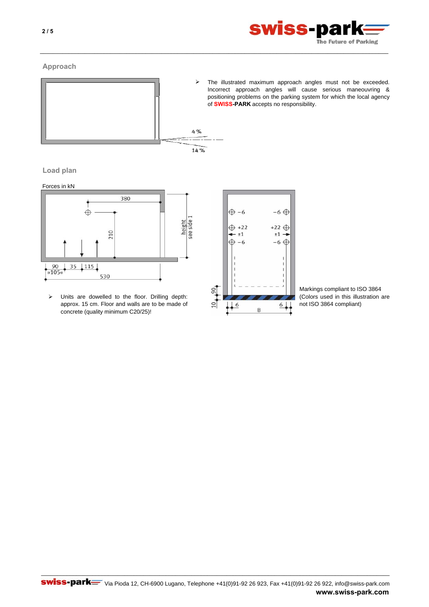

# **Approach**



 $\blacktriangleright$ The illustrated maximum approach angles must not be exceeded. Incorrect approach angles will cause serious maneouvring & positioning problems on the parking system for which the local agency of **SWISS-PARK** accepts no responsibility.



Forces in kN



¾ (Colors used in this illustration are Units are dowelled to the floor. Drilling depth: approx. 15 cm. Floor and walls are to be made of concrete (quality minimum C20/25)!



\_\_\_\_\_\_\_\_\_\_\_\_\_\_\_\_\_\_\_\_\_\_\_\_\_\_\_\_\_\_\_\_\_\_\_\_\_\_\_\_\_\_\_\_\_\_\_\_\_\_\_\_\_\_\_\_\_\_\_\_\_\_\_\_\_\_\_\_\_\_\_\_\_\_\_\_\_\_\_\_\_\_\_\_\_\_\_\_\_\_\_\_\_\_\_\_\_\_\_\_\_\_\_\_\_\_\_\_\_

Markings compliant to ISO 3864 not ISO 3864 compliant)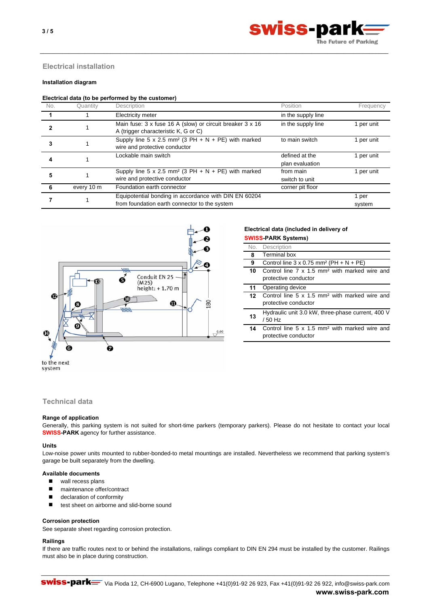

# **Electrical installation**

# **Installation diagram**

#### **Electrical data (to be performed by the customer)**

| No. | Quantity   | Description                                                                                            | Position                          | Frequency       |
|-----|------------|--------------------------------------------------------------------------------------------------------|-----------------------------------|-----------------|
|     |            | Electricity meter                                                                                      | in the supply line                |                 |
|     |            | Main fuse: 3 x fuse 16 A (slow) or circuit breaker 3 x 16<br>A (trigger characteristic K, G or C)      | in the supply line                | per unit        |
|     |            | Supply line 5 x 2.5 mm <sup>2</sup> (3 PH + N + PE) with marked<br>wire and protective conductor       | to main switch                    | per unit        |
|     |            | Lockable main switch                                                                                   | defined at the<br>plan evaluation | per unit        |
|     |            | Supply line 5 x 2.5 mm <sup>2</sup> (3 PH + N + PE) with marked<br>wire and protective conductor       | from main<br>switch to unit       | per unit        |
|     | every 10 m | Foundation earth connector                                                                             | corner pit floor                  |                 |
|     |            | Equipotential bonding in accordance with DIN EN 60204<br>from foundation earth connector to the system |                                   | 1 per<br>system |

\_\_\_\_\_\_\_\_\_\_\_\_\_\_\_\_\_\_\_\_\_\_\_\_\_\_\_\_\_\_\_\_\_\_\_\_\_\_\_\_\_\_\_\_\_\_\_\_\_\_\_\_\_\_\_\_\_\_\_\_\_\_\_\_\_\_\_\_\_\_\_\_\_\_\_\_\_\_\_\_\_\_\_\_\_\_\_\_\_\_\_\_\_\_\_\_\_\_\_\_\_\_\_\_\_\_\_\_\_



#### **Electrical data (included in delivery of SWISS-PARK Systems)**

| OWIOO FANN OVSIEIIISI |                                                            |  |
|-----------------------|------------------------------------------------------------|--|
|                       | No. Description                                            |  |
| 8                     | <b>Terminal box</b>                                        |  |
| 9                     | Control line $3 \times 0.75$ mm <sup>2</sup> (PH + N + PE) |  |
| 10                    | Control line 7 x 1.5 mm <sup>2</sup> with marked wire and  |  |
|                       | protective conductor                                       |  |
| 11                    | Operating device                                           |  |
| 12                    | Control line 5 x 1.5 mm <sup>2</sup> with marked wire and  |  |
|                       | protective conductor                                       |  |
| 13                    | Hydraulic unit 3.0 kW, three-phase current, 400 V          |  |
|                       | / 50 Hz                                                    |  |
| 14                    | Control line 5 x 1.5 mm <sup>2</sup> with marked wire and  |  |
|                       | protective conductor                                       |  |

system

# **Technical data**

## **Range of application**

Generally, this parking system is not suited for short-time parkers (temporary parkers). Please do not hesitate to contact your local **SWISS-PARK** agency for further assistance.

## **Units**

Low-noise power units mounted to rubber-bonded-to metal mountings are installed. Nevertheless we recommend that parking system's garage be built separately from the dwelling.

## **Available documents**

- wall recess plans
- maintenance offer/contract
- declaration of conformity
- test sheet on airborne and slid-borne sound

#### **Corrosion protection**

See separate sheet regarding corrosion protection.

# **Railings**

If there are traffic routes next to or behind the installations, railings compliant to DIN EN 294 must be installed by the customer. Railings must also be in place during construction.

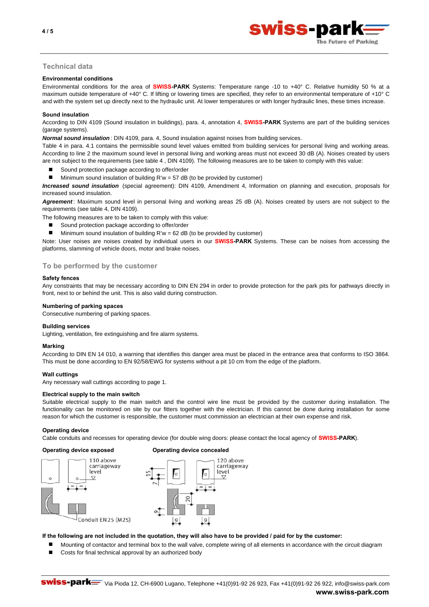

# **Technical data**

## **Environmental conditions**

Environmental conditions for the area of **SWISS-PARK** Systems: Temperature range -10 to +40° C. Relative humidity 50 % at a maximum outside temperature of +40° C. If lifting or lowering times are specified, they refer to an environmental temperature of +10° C and with the system set up directly next to the hydraulic unit. At lower temperatures or with longer hydraulic lines, these times increase.

\_\_\_\_\_\_\_\_\_\_\_\_\_\_\_\_\_\_\_\_\_\_\_\_\_\_\_\_\_\_\_\_\_\_\_\_\_\_\_\_\_\_\_\_\_\_\_\_\_\_\_\_\_\_\_\_\_\_\_\_\_\_\_\_\_\_\_\_\_\_\_\_\_\_\_\_\_\_\_\_\_\_\_\_\_\_\_\_\_\_\_\_\_\_\_\_\_\_\_\_\_\_\_\_\_\_\_\_\_

## **Sound insulation**

According to DIN 4109 (Sound insulation in buildings), para. 4, annotation 4, **SWISS-PARK** Systems are part of the building services (garage systems).

*Normal sound insulation* : DIN 4109, para. 4, Sound insulation against noises from building services.

Table 4 in para. 4.1 contains the permissible sound level values emitted from building services for personal living and working areas. According to line 2 the maximum sound level in personal living and working areas must not exceed 30 dB (A). Noises created by users are not subject to the requirements (see table 4 , DIN 4109). The following measures are to be taken to comply with this value:

- Sound protection package according to offer/order
- Minimum sound insulation of building R'w = 57 dB (to be provided by customer)

*Increased sound insulation* (special agreement): DIN 4109, Amendment 4, Information on planning and execution, proposals for increased sound insulation.

*Agreement* : Maximum sound level in personal living and working areas 25 dB (A). Noises created by users are not subject to the requirements (see table 4, DIN 4109).

The following measures are to be taken to comply with this value:

- Sound protection package according to offer/order
- **Minimum sound insulation of building R'w = 62 dB (to be provided by customer)**

Note: User noises are noises created by individual users in our **SWISS-PARK** Systems. These can be noises from accessing the platforms, slamming of vehicle doors, motor and brake noises.

## **To be performed by the customer**

## **Safety fences**

Any constraints that may be necessary according to DIN EN 294 in order to provide protection for the park pits for pathways directly in front, next to or behind the unit. This is also valid during construction.

## **Numbering of parking spaces**

Consecutive numbering of parking spaces.

# **Building services**

Lighting, ventilation, fire extinguishing and fire alarm systems.

## **Marking**

According to DIN EN 14 010, a warning that identifies this danger area must be placed in the entrance area that conforms to ISO 3864. This must be done according to EN 92/58/EWG for systems without a pit 10 cm from the edge of the platform.

## **Wall cuttings**

Any necessary wall cuttings according to page 1.

## **Electrical supply to the main switch**

Suitable electrical supply to the main switch and the control wire line must be provided by the customer during installation. The functionality can be monitored on site by our fitters together with the electrician. If this cannot be done during installation for some reason for which the customer is responsible, the customer must commission an electrician at their own expense and risk.

## **Operating device**

Cable conduits and recesses for operating device (for double wing doors: please contact the local agency of **SWISS-PARK**).

# **Operating device exposed Operating device concealed**







## **If the following are not included in the quotation, they will also have to be provided / paid for by the customer:**

Mounting of contactor and terminal box to the wall valve, complete wiring of all elements in accordance with the circuit diagram

\_\_\_\_\_\_\_\_\_\_\_\_\_\_\_\_\_\_\_\_\_\_\_\_\_\_\_\_\_\_\_\_\_\_\_\_\_\_\_\_\_\_\_\_\_\_\_\_\_\_\_\_\_\_\_\_\_\_\_\_\_\_\_\_\_\_\_\_\_\_\_\_\_\_\_\_\_\_\_\_\_\_\_\_\_\_\_\_\_\_\_\_\_\_\_\_\_\_\_\_\_\_\_\_\_\_\_\_\_

Costs for final technical approval by an authorized body